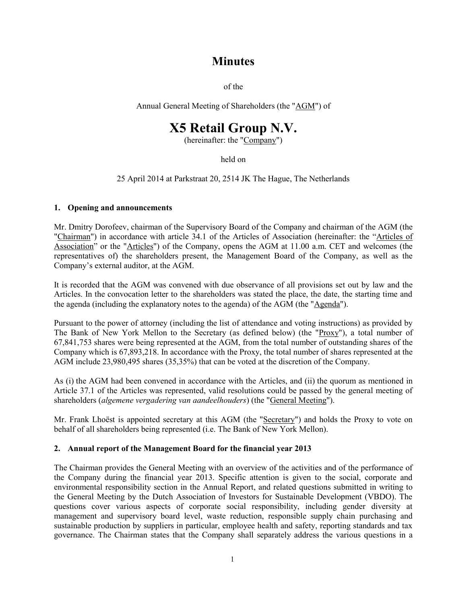# **Minutes**

of the

Annual General Meeting of Shareholders (the "AGM") of

# **X5 Retail Group N.V.**

(hereinafter: the "Company")

held on

25 April 2014 at Parkstraat 20, 2514 JK The Hague, The Netherlands

# **1. Opening and announcements**

Mr. Dmitry Dorofeev, chairman of the Supervisory Board of the Company and chairman of the AGM (the "Chairman") in accordance with article 34.1 of the Articles of Association (hereinafter: the "Articles of Association" or the "Articles") of the Company, opens the AGM at 11.00 a.m. CET and welcomes (the representatives of) the shareholders present, the Management Board of the Company, as well as the Company's external auditor, at the AGM.

It is recorded that the AGM was convened with due observance of all provisions set out by law and the Articles. In the convocation letter to the shareholders was stated the place, the date, the starting time and the agenda (including the explanatory notes to the agenda) of the AGM (the "Agenda").

Pursuant to the power of attorney (including the list of attendance and voting instructions) as provided by The Bank of New York Mellon to the Secretary (as defined below) (the "Proxy"), a total number of 67,841,753 shares were being represented at the AGM, from the total number of outstanding shares of the Company which is 67,893,218. In accordance with the Proxy, the total number of shares represented at the AGM include 23,980,495 shares (35,35%) that can be voted at the discretion of the Company.

As (i) the AGM had been convened in accordance with the Articles, and (ii) the quorum as mentioned in Article 37.1 of the Articles was represented, valid resolutions could be passed by the general meeting of shareholders (*algemene vergadering van aandeelhouders*) (the "General Meeting").

Mr. Frank Lhoëst is appointed secretary at this AGM (the "Secretary") and holds the Proxy to vote on behalf of all shareholders being represented (i.e. The Bank of New York Mellon).

#### **2. Annual report of the Management Board for the financial year 2013**

The Chairman provides the General Meeting with an overview of the activities and of the performance of the Company during the financial year 2013. Specific attention is given to the social, corporate and environmental responsibility section in the Annual Report, and related questions submitted in writing to the General Meeting by the Dutch Association of Investors for Sustainable Development (VBDO). The questions cover various aspects of corporate social responsibility, including gender diversity at management and supervisory board level, waste reduction, responsible supply chain purchasing and sustainable production by suppliers in particular, employee health and safety, reporting standards and tax governance. The Chairman states that the Company shall separately address the various questions in a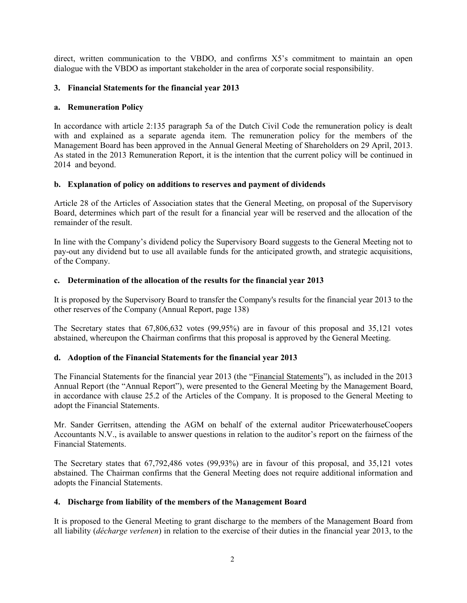direct, written communication to the VBDO, and confirms X5's commitment to maintain an open dialogue with the VBDO as important stakeholder in the area of corporate social responsibility.

# **3. Financial Statements for the financial year 2013**

#### **a. Remuneration Policy**

In accordance with article 2:135 paragraph 5a of the Dutch Civil Code the remuneration policy is dealt with and explained as a separate agenda item. The remuneration policy for the members of the Management Board has been approved in the Annual General Meeting of Shareholders on 29 April, 2013. As stated in the 2013 Remuneration Report, it is the intention that the current policy will be continued in 2014 and beyond.

# **b. Explanation of policy on additions to reserves and payment of dividends**

Article 28 of the Articles of Association states that the General Meeting, on proposal of the Supervisory Board, determines which part of the result for a financial year will be reserved and the allocation of the remainder of the result.

In line with the Company's dividend policy the Supervisory Board suggests to the General Meeting not to pay-out any dividend but to use all available funds for the anticipated growth, and strategic acquisitions, of the Company.

# **c. Determination of the allocation of the results for the financial year 2013**

It is proposed by the Supervisory Board to transfer the Company's results for the financial year 2013 to the other reserves of the Company (Annual Report, page 138)

The Secretary states that 67,806,632 votes (99,95%) are in favour of this proposal and 35,121 votes abstained, whereupon the Chairman confirms that this proposal is approved by the General Meeting.

#### **d. Adoption of the Financial Statements for the financial year 2013**

The Financial Statements for the financial year 2013 (the "Financial Statements"), as included in the 2013 Annual Report (the "Annual Report"), were presented to the General Meeting by the Management Board, in accordance with clause 25.2 of the Articles of the Company. It is proposed to the General Meeting to adopt the Financial Statements.

Mr. Sander Gerritsen, attending the AGM on behalf of the external auditor PricewaterhouseCoopers Accountants N.V., is available to answer questions in relation to the auditor's report on the fairness of the Financial Statements.

The Secretary states that 67,792,486 votes (99,93%) are in favour of this proposal, and 35,121 votes abstained. The Chairman confirms that the General Meeting does not require additional information and adopts the Financial Statements.

#### **4. Discharge from liability of the members of the Management Board**

It is proposed to the General Meeting to grant discharge to the members of the Management Board from all liability (*décharge verlenen*) in relation to the exercise of their duties in the financial year 2013, to the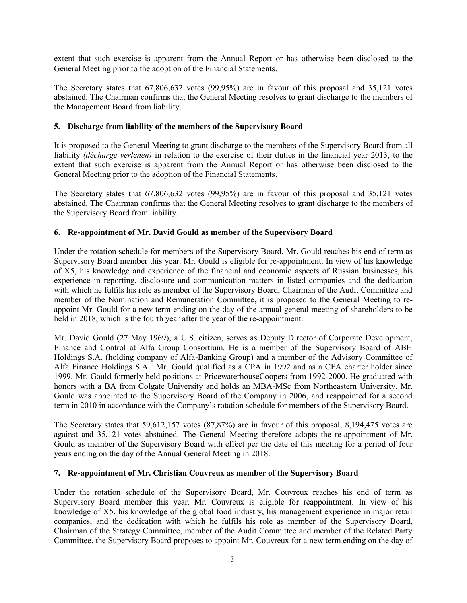extent that such exercise is apparent from the Annual Report or has otherwise been disclosed to the General Meeting prior to the adoption of the Financial Statements.

The Secretary states that 67,806,632 votes (99,95%) are in favour of this proposal and 35,121 votes abstained. The Chairman confirms that the General Meeting resolves to grant discharge to the members of the Management Board from liability.

#### **5. Discharge from liability of the members of the Supervisory Board**

It is proposed to the General Meeting to grant discharge to the members of the Supervisory Board from all liability *(décharge verlenen)* in relation to the exercise of their duties in the financial year 2013, to the extent that such exercise is apparent from the Annual Report or has otherwise been disclosed to the General Meeting prior to the adoption of the Financial Statements.

The Secretary states that 67,806,632 votes (99,95%) are in favour of this proposal and 35,121 votes abstained. The Chairman confirms that the General Meeting resolves to grant discharge to the members of the Supervisory Board from liability.

# **6. Re-appointment of Mr. David Gould as member of the Supervisory Board**

Under the rotation schedule for members of the Supervisory Board, Mr. Gould reaches his end of term as Supervisory Board member this year. Mr. Gould is eligible for re-appointment. In view of his knowledge of X5, his knowledge and experience of the financial and economic aspects of Russian businesses, his experience in reporting, disclosure and communication matters in listed companies and the dedication with which he fulfils his role as member of the Supervisory Board, Chairman of the Audit Committee and member of the Nomination and Remuneration Committee, it is proposed to the General Meeting to reappoint Mr. Gould for a new term ending on the day of the annual general meeting of shareholders to be held in 2018, which is the fourth year after the year of the re-appointment.

Mr. David Gould (27 May 1969), a U.S. citizen, serves as Deputy Director of Corporate Development, Finance and Control at Alfa Group Consortium. He is a member of the Supervisory Board of ABH Holdings S.A. (holding company of Alfa-Banking Group) and a member of the Advisory Committee of Alfa Finance Holdings S.A. Mr. Gould qualified as a CPA in 1992 and as a CFA charter holder since 1999. Mr. Gould formerly held positions at PricewaterhouseCoopers from 1992-2000. He graduated with honors with a BA from Colgate University and holds an MBA-MSc from Northeastern University. Mr. Gould was appointed to the Supervisory Board of the Company in 2006, and reappointed for a second term in 2010 in accordance with the Company's rotation schedule for members of the Supervisory Board.

The Secretary states that 59,612,157 votes (87,87%) are in favour of this proposal, 8,194,475 votes are against and 35,121 votes abstained. The General Meeting therefore adopts the re-appointment of Mr. Gould as member of the Supervisory Board with effect per the date of this meeting for a period of four years ending on the day of the Annual General Meeting in 2018.

#### **7. Re-appointment of Mr. Christian Couvreux as member of the Supervisory Board**

Under the rotation schedule of the Supervisory Board, Mr. Couvreux reaches his end of term as Supervisory Board member this year. Mr. Couvreux is eligible for reappointment. In view of his knowledge of X5, his knowledge of the global food industry, his management experience in major retail companies, and the dedication with which he fulfils his role as member of the Supervisory Board, Chairman of the Strategy Committee, member of the Audit Committee and member of the Related Party Committee, the Supervisory Board proposes to appoint Mr. Couvreux for a new term ending on the day of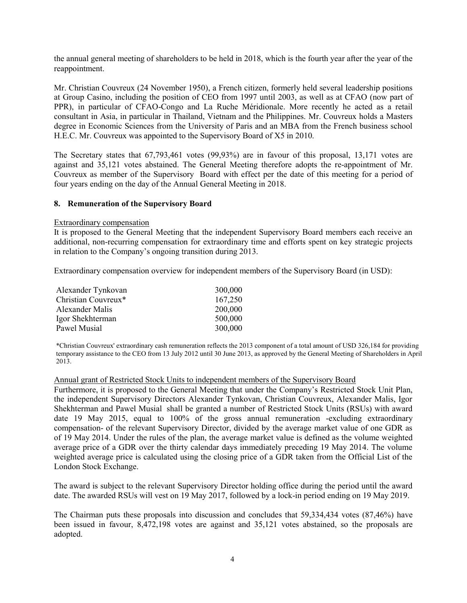the annual general meeting of shareholders to be held in 2018, which is the fourth year after the year of the reappointment.

Mr. Christian Couvreux (24 November 1950), a French citizen, formerly held several leadership positions at Group Casino, including the position of CEO from 1997 until 2003, as well as at CFAO (now part of PPR), in particular of CFAO-Congo and La Ruche Méridionale. More recently he acted as a retail consultant in Asia, in particular in Thailand, Vietnam and the Philippines. Mr. Couvreux holds a Masters degree in Economic Sciences from the University of Paris and an MBA from the French business school H.E.C. Mr. Couvreux was appointed to the Supervisory Board of X5 in 2010.

The Secretary states that 67,793,461 votes (99,93%) are in favour of this proposal, 13,171 votes are against and 35,121 votes abstained. The General Meeting therefore adopts the re-appointment of Mr. Couvreux as member of the Supervisory Board with effect per the date of this meeting for a period of four years ending on the day of the Annual General Meeting in 2018.

#### **8. Remuneration of the Supervisory Board**

#### Extraordinary compensation

It is proposed to the General Meeting that the independent Supervisory Board members each receive an additional, non-recurring compensation for extraordinary time and efforts spent on key strategic projects in relation to the Company's ongoing transition during 2013.

Extraordinary compensation overview for independent members of the Supervisory Board (in USD):

| Alexander Tynkovan  | 300,000 |
|---------------------|---------|
| Christian Couvreux* | 167,250 |
| Alexander Malis     | 200,000 |
| Igor Shekhterman    | 500,000 |
| Pawel Musial        | 300,000 |

\*Christian Couvreux' extraordinary cash remuneration reflects the 2013 component of a total amount of USD 326,184 for providing temporary assistance to the CEO from 13 July 2012 until 30 June 2013, as approved by the General Meeting of Shareholders in April 2013.

#### Annual grant of Restricted Stock Units to independent members of the Supervisory Board

Furthermore, it is proposed to the General Meeting that under the Company's Restricted Stock Unit Plan, the independent Supervisory Directors Alexander Tynkovan, Christian Couvreux, Alexander Malis, Igor Shekhterman and Pawel Musial shall be granted a number of Restricted Stock Units (RSUs) with award date 19 May 2015, equal to 100% of the gross annual remuneration -excluding extraordinary compensation- of the relevant Supervisory Director, divided by the average market value of one GDR as of 19 May 2014. Under the rules of the plan, the average market value is defined as the volume weighted average price of a GDR over the thirty calendar days immediately preceding 19 May 2014. The volume weighted average price is calculated using the closing price of a GDR taken from the Official List of the London Stock Exchange.

The award is subject to the relevant Supervisory Director holding office during the period until the award date. The awarded RSUs will vest on 19 May 2017, followed by a lock-in period ending on 19 May 2019.

The Chairman puts these proposals into discussion and concludes that 59,334,434 votes (87,46%) have been issued in favour, 8,472,198 votes are against and 35,121 votes abstained, so the proposals are adopted.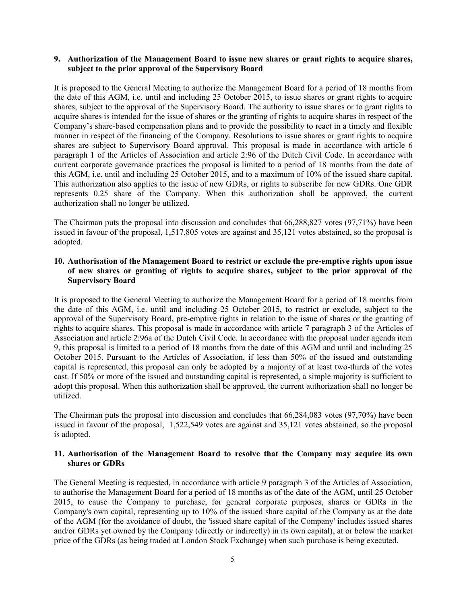#### **9. Authorization of the Management Board to issue new shares or grant rights to acquire shares, subject to the prior approval of the Supervisory Board**

It is proposed to the General Meeting to authorize the Management Board for a period of 18 months from the date of this AGM, i.e. until and including 25 October 2015, to issue shares or grant rights to acquire shares, subject to the approval of the Supervisory Board. The authority to issue shares or to grant rights to acquire shares is intended for the issue of shares or the granting of rights to acquire shares in respect of the Company's share-based compensation plans and to provide the possibility to react in a timely and flexible manner in respect of the financing of the Company. Resolutions to issue shares or grant rights to acquire shares are subject to Supervisory Board approval. This proposal is made in accordance with article 6 paragraph 1 of the Articles of Association and article 2:96 of the Dutch Civil Code. In accordance with current corporate governance practices the proposal is limited to a period of 18 months from the date of this AGM, i.e. until and including 25 October 2015, and to a maximum of 10% of the issued share capital. This authorization also applies to the issue of new GDRs, or rights to subscribe for new GDRs. One GDR represents 0.25 share of the Company. When this authorization shall be approved, the current authorization shall no longer be utilized.

The Chairman puts the proposal into discussion and concludes that 66,288,827 votes (97,71%) have been issued in favour of the proposal, 1,517,805 votes are against and 35,121 votes abstained, so the proposal is adopted.

#### **10. Authorisation of the Management Board to restrict or exclude the pre-emptive rights upon issue of new shares or granting of rights to acquire shares, subject to the prior approval of the Supervisory Board**

It is proposed to the General Meeting to authorize the Management Board for a period of 18 months from the date of this AGM, i.e. until and including 25 October 2015, to restrict or exclude, subject to the approval of the Supervisory Board, pre-emptive rights in relation to the issue of shares or the granting of rights to acquire shares. This proposal is made in accordance with article 7 paragraph 3 of the Articles of Association and article 2:96a of the Dutch Civil Code. In accordance with the proposal under agenda item 9, this proposal is limited to a period of 18 months from the date of this AGM and until and including 25 October 2015. Pursuant to the Articles of Association, if less than 50% of the issued and outstanding capital is represented, this proposal can only be adopted by a majority of at least two-thirds of the votes cast. If 50% or more of the issued and outstanding capital is represented, a simple majority is sufficient to adopt this proposal. When this authorization shall be approved, the current authorization shall no longer be utilized.

The Chairman puts the proposal into discussion and concludes that 66,284,083 votes (97,70%) have been issued in favour of the proposal, 1,522,549 votes are against and 35,121 votes abstained, so the proposal is adopted.

#### **11. Authorisation of the Management Board to resolve that the Company may acquire its own shares or GDRs**

The General Meeting is requested, in accordance with article 9 paragraph 3 of the Articles of Association, to authorise the Management Board for a period of 18 months as of the date of the AGM, until 25 October 2015, to cause the Company to purchase, for general corporate purposes, shares or GDRs in the Company's own capital, representing up to 10% of the issued share capital of the Company as at the date of the AGM (for the avoidance of doubt, the 'issued share capital of the Company' includes issued shares and/or GDRs yet owned by the Company (directly or indirectly) in its own capital), at or below the market price of the GDRs (as being traded at London Stock Exchange) when such purchase is being executed.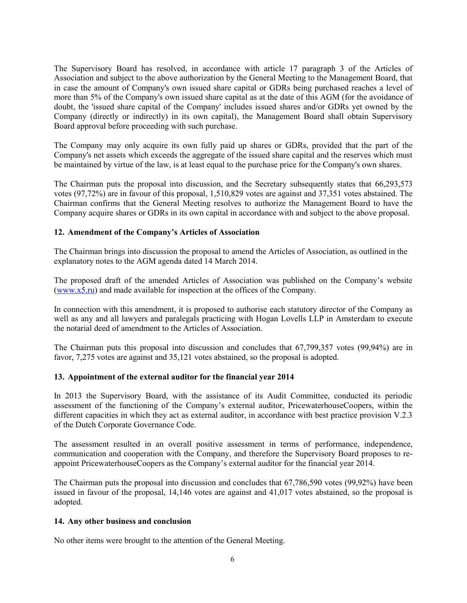The Supervisory Board has resolved, in accordance with article 17 paragraph 3 of the Articles of Association and subject to the above authorization by the General Meeting to the Management Board, that in case the amount of Company's own issued share capital or GDRs being purchased reaches a level of more than 5% of the Company's own issued share capital as at the date of this AGM (for the avoidance of doubt, the 'issued share capital of the Company' includes issued shares and/or GDRs yet owned by the Company (directly or indirectly) in its own capital), the Management Board shall obtain Supervisory Board approval before proceeding with such purchase.

The Company may only acquire its own fully paid up shares or GDRs, provided that the part of the Company's net assets which exceeds the aggregate of the issued share capital and the reserves which must be maintained by virtue of the law, is at least equal to the purchase price for the Company's own shares.

The Chairman puts the proposal into discussion, and the Secretary subsequently states that 66,293,573 votes (97,72%) are in favour of this proposal, 1,510,829 votes are against and 37,351 votes abstained. The Chairman confirms that the General Meeting resolves to authorize the Management Board to have the Company acquire shares or GDRs in its own capital in accordance with and subject to the above proposal.

#### **12. Amendment of the Company's Articles of Association**

The Chairman brings into discussion the proposal to amend the Articles of Association, as outlined in the explanatory notes to the AGM agenda dated 14 March 2014.

The proposed draft of the amended Articles of Association was published on the Company's website [\(www.x5.ru\)](http://www.x5.ru/) and made available for inspection at the offices of the Company.

In connection with this amendment, it is proposed to authorise each statutory director of the Company as well as any and all lawyers and paralegals practicing with Hogan Lovells LLP in Amsterdam to execute the notarial deed of amendment to the Articles of Association.

The Chairman puts this proposal into discussion and concludes that 67,799,357 votes (99,94%) are in favor, 7,275 votes are against and 35,121 votes abstained, so the proposal is adopted.

#### **13. Appointment of the external auditor for the financial year 2014**

In 2013 the Supervisory Board, with the assistance of its Audit Committee, conducted its periodic assessment of the functioning of the Company's external auditor, PricewaterhouseCoopers, within the different capacities in which they act as external auditor, in accordance with best practice provision V.2.3 of the Dutch Corporate Governance Code.

The assessment resulted in an overall positive assessment in terms of performance, independence, communication and cooperation with the Company, and therefore the Supervisory Board proposes to reappoint PricewaterhouseCoopers as the Company's external auditor for the financial year 2014.

The Chairman puts the proposal into discussion and concludes that 67,786,590 votes (99,92%) have been issued in favour of the proposal, 14,146 votes are against and 41,017 votes abstained, so the proposal is adopted.

#### **14. Any other business and conclusion**

No other items were brought to the attention of the General Meeting.